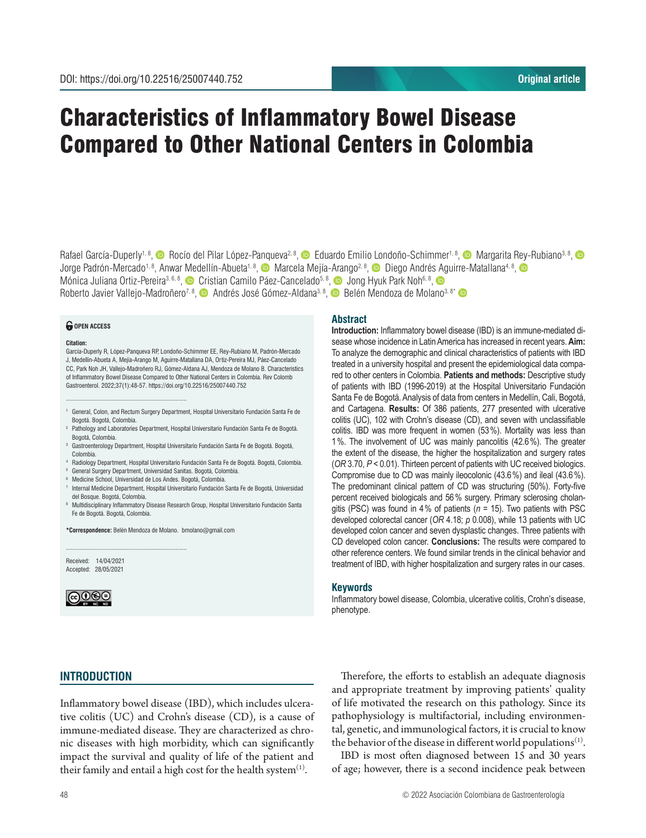# Characteristics of Inflammatory Bowel Disease Compared to Other National Centers in Colombia

Rafael García-Duperly<sup>1, 8</sup>, **C** Rocío del Pilar López-Panqueva<sup>2, 8</sup>, C Eduardo Emilio Londoño-Schimmer<sup>1, 8</sup>, C Margarita Rey-Rubiano<sup>3, 8</sup>, C Jorge Padrón-Mercado<sup>1, 8</sup>, Anwar Medellín-Abueta<sup>1, 8</sup>, © Marcela Mejía-Arango<sup>2, 8</sup>, © Diego Andrés Aguirre-Matallana<sup>4, 8</sup>, © Mónica Juliana Ortiz-Pereira<sup>3, 6, 8</sup>, <sup>1</sup> Cristian Camilo Páez-Cancelado<sup>5, 8</sup>, <sup>1</sup> Jong Hyuk Park Noh<sup>6, 8</sup>, <sup>1</sup> Roberto Javier Vallejo-Madroñero<sup>7, 8</sup>, <sup>6</sup> Andrés José Gómez-Aldana<sup>3, 8</sup>, <sup>6</sup> Belén Mendoza de Molano<sup>3, 8</sup>\* <sup>6</sup>

#### *<u>O</del>* OPEN ACCESS</u>

#### **Citation:**

García-Duperly R, López-Panqueva RP, Londoño-Schimmer EE, Rey-Rubiano M, Padrón-Mercado J, Medellín-Abueta A, Mejía-Arango M, Aguirre-Matallana DA, Ortiz-Pereira MJ, Páez-Cancelado CC, Park Noh JH, Vallejo-Madroñero RJ, Gómez-Aldana AJ, Mendoza de Molano B. Characteristics of Inflammatory Bowel Disease Compared to Other National Centers in Colombia. Rev Colomb Gastroenterol. 2022;37(1):48-57. https://doi.org/10.22516/25007440.752

- <sup>1</sup> General, Colon, and Rectum Surgery Department, Hospital Universitario Fundación Santa Fe de Bogotá. Bogotá, Colombia.
- <sup>2</sup> Pathology and Laboratories Department, Hospital Universitario Fundación Santa Fe de Bogotá. Bogotá, Colombia.
- <sup>3</sup> Gastroenterology Department, Hospital Universitario Fundación Santa Fe de Bogotá. Bogotá, Colombia.
- <sup>4</sup> Radiology Department, Hospital Universitario Fundación Santa Fe de Bogotá. Bogotá, Colombia.
- <sup>5</sup> General Surgery Department, Universidad Sanitas. Bogotá, Colombia.
- <sup>6</sup> Medicine School, Universidad de Los Andes. Bogotá, Colombia.

............................................................................

- <sup>7</sup> Internal Medicine Department, Hospital Universitario Fundación Santa Fe de Bogotá, Universidad del Bosque. Bogotá, Colombia.
- <sup>8</sup> Multidisciplinary Inflammatory Disease Research Group, Hospital Universitario Fundación Santa Fe de Bogotá. Bogotá, Colombia.

**\*Correspondence:** Belén Mendoza de Molano. bmolano@gmail.com

............................................................................

Received: 14/04/2021 Accepted: 28/05/2021



#### **Abstract**

**Introduction:** Inflammatory bowel disease (IBD) is an immune-mediated disease whose incidence in Latin America has increased in recent years. **Aim:**  To analyze the demographic and clinical characteristics of patients with IBD treated in a university hospital and present the epidemiological data compared to other centers in Colombia. **Patients and methods:** Descriptive study of patients with IBD (1996-2019) at the Hospital Universitario Fundación Santa Fe de Bogotá. Analysis of data from centers in Medellín, Cali, Bogotá, and Cartagena. **Results:** Of 386 patients, 277 presented with ulcerative colitis (UC), 102 with Crohn's disease (CD), and seven with unclassifiable colitis. IBD was more frequent in women (53%). Mortality was less than 1%. The involvement of UC was mainly pancolitis (42.6%). The greater the extent of the disease, the higher the hospitalization and surgery rates (*OR* 3.70, *P* < 0.01). Thirteen percent of patients with UC received biologics. Compromise due to CD was mainly ileocolonic (43.6%) and ileal (43.6%). The predominant clinical pattern of CD was structuring (50%). Forty-five percent received biologicals and 56% surgery. Primary sclerosing cholangitis (PSC) was found in 4% of patients (*n* = 15). Two patients with PSC developed colorectal cancer (*OR* 4.18; *p* 0.008), while 13 patients with UC developed colon cancer and seven dysplastic changes. Three patients with CD developed colon cancer. **Conclusions:** The results were compared to other reference centers. We found similar trends in the clinical behavior and treatment of IBD, with higher hospitalization and surgery rates in our cases.

#### **Keywords**

Inflammatory bowel disease, Colombia, ulcerative colitis, Crohn's disease, phenotype.

# **INTRODUCTION**

Inflammatory bowel disease (IBD), which includes ulcerative colitis (UC) and Crohn's disease (CD), is a cause of immune-mediated disease. They are characterized as chronic diseases with high morbidity, which can significantly impact the survival and quality of life of the patient and their family and entail a high cost for the health system $<sup>(1)</sup>$ .</sup>

Therefore, the efforts to establish an adequate diagnosis and appropriate treatment by improving patients' quality of life motivated the research on this pathology. Since its pathophysiology is multifactorial, including environmental, genetic, and immunological factors, it is crucial to know the behavior of the disease in different world populations<sup> $(1)$ </sup>.

IBD is most often diagnosed between 15 and 30 years of age; however, there is a second incidence peak between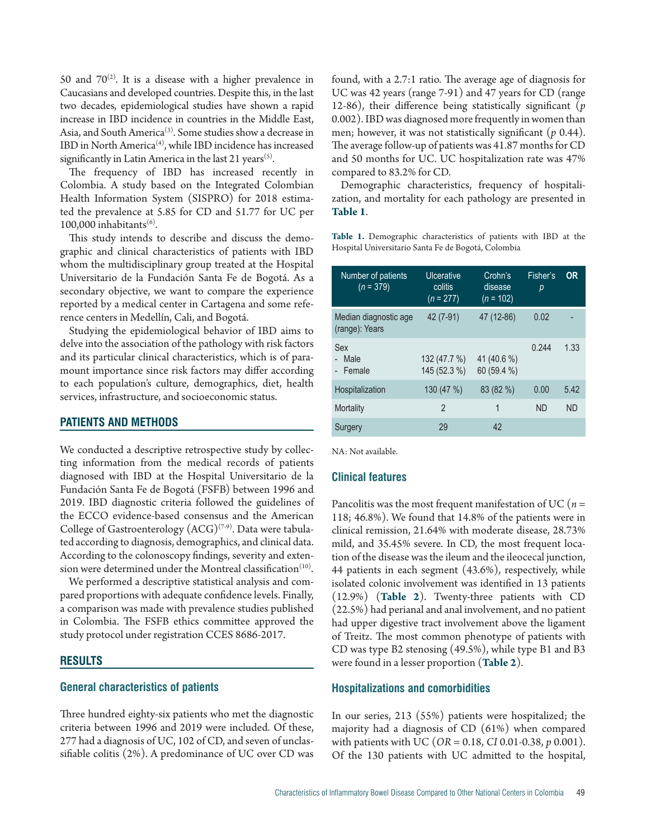50 and  $70^{(2)}$ . It is a disease with a higher prevalence in Caucasians and developed countries. Despite this, in the last two decades, epidemiological studies have shown a rapid increase in IBD incidence in countries in the Middle East, Asia, and South America<sup>(3)</sup>. Some studies show a decrease in IBD in North America<sup>(4)</sup>, while IBD incidence has increased significantly in Latin America in the last 21 years<sup>(5)</sup>.

The frequency of IBD has increased recently in Colombia. A study based on the Integrated Colombian Health Information System (SISPRO) for 2018 estimated the prevalence at 5.85 for CD and 51.77 for UC per 100,000 inhabitants $(6)$ .

This study intends to describe and discuss the demographic and clinical characteristics of patients with IBD whom the multidisciplinary group treated at the Hospital Universitario de la Fundación Santa Fe de Bogotá. As a secondary objective, we want to compare the experience reported by a medical center in Cartagena and some reference centers in Medellín, Cali, and Bogotá.

Studying the epidemiological behavior of IBD aims to delve into the association of the pathology with risk factors and its particular clinical characteristics, which is of paramount importance since risk factors may differ according to each population's culture, demographics, diet, health services, infrastructure, and socioeconomic status.

# **PATIENTS AND METHODS**

We conducted a descriptive retrospective study by collecting information from the medical records of patients diagnosed with IBD at the Hospital Universitario de la Fundación Santa Fe de Bogotá (FSFB) between 1996 and 2019. IBD diagnostic criteria followed the guidelines of the ECCO evidence-based consensus and the American College of Gastroenterology  $(ACG)^{(7\cdot 9)}$ . Data were tabulated according to diagnosis, demographics, and clinical data. According to the colonoscopy findings, severity and extension were determined under the Montreal classification $(10)$ .

We performed a descriptive statistical analysis and compared proportions with adequate confidence levels. Finally, a comparison was made with prevalence studies published in Colombia. The FSFB ethics committee approved the study protocol under registration CCES 8686-2017.

# **RESULTS**

# **General characteristics of patients**

Three hundred eighty-six patients who met the diagnostic criteria between 1996 and 2019 were included. Of these, 277 had a diagnosis of UC, 102 of CD, and seven of unclassifiable colitis (2%). A predominance of UC over CD was found, with a 2.7:1 ratio. The average age of diagnosis for UC was 42 years (range 7-91) and 47 years for CD (range 12-86), their difference being statistically significant (*p* 0.002). IBD was diagnosed more frequently in women than men; however, it was not statistically significant (*p* 0.44). The average follow-up of patients was 41.87 months for CD and 50 months for UC. UC hospitalization rate was 47% compared to 83.2% for CD.

Demographic characteristics, frequency of hospitalization, and mortality for each pathology are presented in **Table 1**.

**Table 1.** Demographic characteristics of patients with IBD at the Hospital Universitario Santa Fe de Bogotá, Colombia

| Number of patients<br>$(n = 379)$       | Ulcerative<br>colitis<br>$(n = 277)$ | Crohn's<br>disease<br>$(n = 102)$ | Fisher's<br>p | <b>OR</b> |
|-----------------------------------------|--------------------------------------|-----------------------------------|---------------|-----------|
| Median diagnostic age<br>(range): Years | 42 (7-91)                            | 47 (12-86)                        | 0.02          |           |
| Sex<br>Male<br>- Female                 | 132 (47.7 %)<br>145 (52.3 %)         | 41 (40.6 %)<br>60 (59.4 %)        | 0.244         | 1.33      |
| Hospitalization                         | 130(47%)                             | 83 (82 %)                         | 0.00          | 5.42      |
| Mortality                               | $\mathfrak{p}$                       | 1                                 | <b>ND</b>     | <b>ND</b> |
| Surgery                                 | 29                                   | 42                                |               |           |

NA: Not available.

# **Clinical features**

Pancolitis was the most frequent manifestation of UC (*n* = 118; 46.8%). We found that 14.8% of the patients were in clinical remission, 21.64% with moderate disease, 28.73% mild, and 35.45% severe. In CD, the most frequent location of the disease was the ileum and the ileocecal junction, 44 patients in each segment (43.6%), respectively, while isolated colonic involvement was identified in 13 patients (12.9%) (**Table 2**). Twenty-three patients with CD (22.5%) had perianal and anal involvement, and no patient had upper digestive tract involvement above the ligament of Treitz. The most common phenotype of patients with CD was type B2 stenosing (49.5%), while type B1 and B3 were found in a lesser proportion (**Table 2**).

# **Hospitalizations and comorbidities**

In our series, 213 (55%) patients were hospitalized; the majority had a diagnosis of CD (61%) when compared with patients with UC (*OR* = 0.18, *CI* 0.01-0.38, *p* 0.001). Of the 130 patients with UC admitted to the hospital,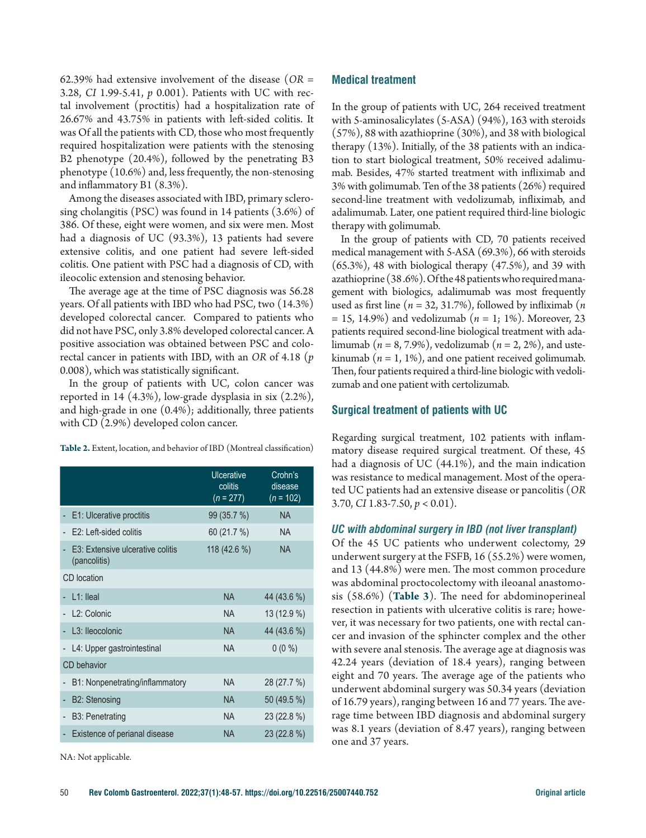62.39% had extensive involvement of the disease (*OR* = 3.28, *CI* 1.99-5.41, *p* 0.001). Patients with UC with rectal involvement (proctitis) had a hospitalization rate of 26.67% and 43.75% in patients with left-sided colitis. It was Of all the patients with CD, those who most frequently required hospitalization were patients with the stenosing B2 phenotype (20.4%), followed by the penetrating B3 phenotype (10.6%) and, less frequently, the non-stenosing and inflammatory B1 (8.3%).

Among the diseases associated with IBD, primary sclerosing cholangitis (PSC) was found in 14 patients (3.6%) of 386. Of these, eight were women, and six were men. Most had a diagnosis of UC (93.3%), 13 patients had severe extensive colitis, and one patient had severe left-sided colitis. One patient with PSC had a diagnosis of CD, with ileocolic extension and stenosing behavior.

The average age at the time of PSC diagnosis was 56.28 years. Of all patients with IBD who had PSC, two (14.3%) developed colorectal cancer. Compared to patients who did not have PSC, only 3.8% developed colorectal cancer. A positive association was obtained between PSC and colorectal cancer in patients with IBD, with an *OR* of 4.18 (*p* 0.008), which was statistically significant.

In the group of patients with UC, colon cancer was reported in 14 (4.3%), low-grade dysplasia in six (2.2%), and high-grade in one (0.4%); additionally, three patients with CD (2.9%) developed colon cancer.

| Table 2. Extent, location, and behavior of IBD (Montreal classification) |  |
|--------------------------------------------------------------------------|--|
|--------------------------------------------------------------------------|--|

|                                                  | <b>Ulcerative</b><br>colitis<br>$(n = 277)$ | Crohn's<br>disease<br>$(n = 102)$ |
|--------------------------------------------------|---------------------------------------------|-----------------------------------|
| E1: Ulcerative proctitis                         | 99(35.7%)                                   | <b>NA</b>                         |
| $F2:1$ eff-sided colitis                         | 60 (21.7 %)                                 | <b>NA</b>                         |
| E3: Extensive ulcerative colitis<br>(pancolitis) | 118 (42.6 %)                                | <b>NA</b>                         |
| CD location                                      |                                             |                                   |
| $L1:$ lleal                                      | <b>NA</b>                                   | 44 (43.6 %)                       |
| L <sub>2</sub> : Colonic                         | <b>NA</b>                                   | 13 (12.9 %)                       |
| L <sub>3</sub> : Ileocolonic                     | <b>NA</b>                                   | 44 (43.6 %)                       |
| L4: Upper gastrointestinal                       | <b>NA</b>                                   | $0(0\%)$                          |
| CD behavior                                      |                                             |                                   |
| B1: Nonpenetrating/inflammatory                  | NA                                          | 28 (27.7 %)                       |
| <b>B2: Stenosing</b>                             | <b>NA</b>                                   | 50 (49.5 %)                       |
| B <sub>3</sub> : Penetrating                     | <b>NA</b>                                   | 23 (22.8 %)                       |
| Existence of perianal disease                    | <b>NA</b>                                   | 23 (22.8 %)                       |

NA: Not applicable.

# **Medical treatment**

In the group of patients with UC, 264 received treatment with 5-aminosalicylates (5-ASA) (94%), 163 with steroids (57%), 88 with azathioprine (30%), and 38 with biological therapy (13%). Initially, of the 38 patients with an indication to start biological treatment, 50% received adalimumab. Besides, 47% started treatment with infliximab and 3% with golimumab. Ten of the 38 patients (26%) required second-line treatment with vedolizumab, infliximab, and adalimumab. Later, one patient required third-line biologic therapy with golimumab.

In the group of patients with CD, 70 patients received medical management with 5-ASA (69.3%), 66 with steroids (65.3%), 48 with biological therapy (47.5%), and 39 with azathioprine (38 .6%). Of the 48 patients who required management with biologics, adalimumab was most frequently used as first line (*n* = 32, 31.7%), followed by infliximab (*n* = 15, 14.9%) and vedolizumab (*n* = 1; 1%). Moreover, 23 patients required second-line biological treatment with adalimumab (*n* = 8, 7.9%), vedolizumab (*n* = 2, 2%), and ustekinumab ( $n = 1, 1\%$ ), and one patient received golimumab. Then, four patients required a third-line biologic with vedolizumab and one patient with certolizumab.

# **Surgical treatment of patients with UC**

Regarding surgical treatment, 102 patients with inflammatory disease required surgical treatment. Of these, 45 had a diagnosis of UC (44.1%), and the main indication was resistance to medical management. Most of the operated UC patients had an extensive disease or pancolitis (*OR* 3.70, *CI* 1.83-7.50, *p* < 0.01).

# *UC with abdominal surgery in IBD (not liver transplant)*

Of the 45 UC patients who underwent colectomy, 29 underwent surgery at the FSFB, 16 (55.2%) were women, and 13 (44.8%) were men. The most common procedure was abdominal proctocolectomy with ileoanal anastomosis (58.6%) (**Table 3**). The need for abdominoperineal resection in patients with ulcerative colitis is rare; however, it was necessary for two patients, one with rectal cancer and invasion of the sphincter complex and the other with severe anal stenosis. The average age at diagnosis was 42.24 years (deviation of 18.4 years), ranging between eight and 70 years. The average age of the patients who underwent abdominal surgery was 50.34 years (deviation of 16.79 years), ranging between 16 and 77 years. The average time between IBD diagnosis and abdominal surgery was 8.1 years (deviation of 8.47 years), ranging between one and 37 years.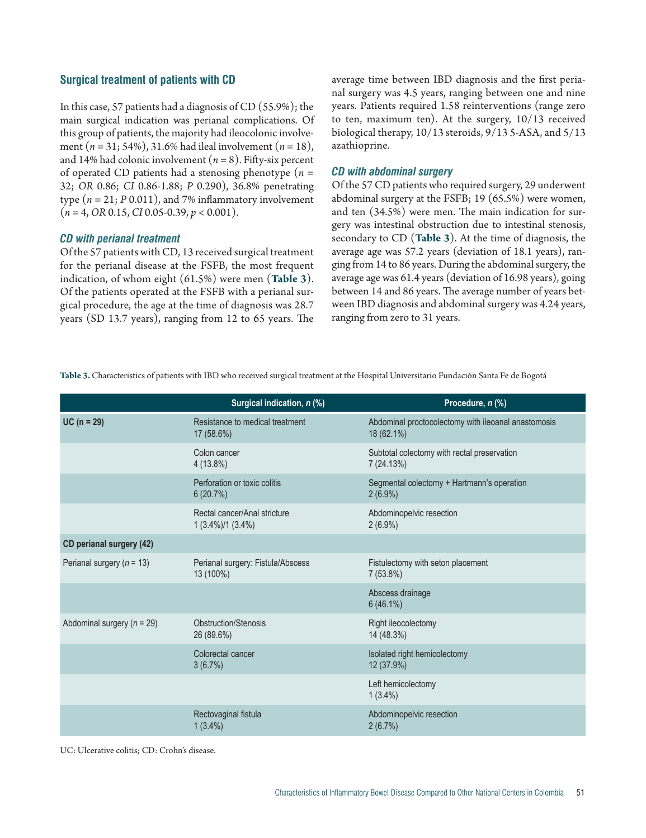# **Surgical treatment of patients with CD**

In this case, 57 patients had a diagnosis of CD (55.9%); the main surgical indication was perianal complications. Of this group of patients, the majority had ileocolonic involvement (*n* = 31; 54%), 31.6% had ileal involvement (*n* = 18), and 14% had colonic involvement  $(n = 8)$ . Fifty-six percent of operated CD patients had a stenosing phenotype (*n* = 32; *OR* 0.86; *CI* 0.86-1.88; *P* 0.290), 36.8% penetrating type  $(n = 21; P 0.011)$ , and 7% inflammatory involvement (*n* = 4, *OR* 0.15, *CI* 0.05-0.39, *p* < 0.001).

#### *CD with perianal treatment*

Of the 57 patients with CD, 13 received surgical treatment for the perianal disease at the FSFB, the most frequent indication, of whom eight (61.5%) were men (**Table 3**). Of the patients operated at the FSFB with a perianal surgical procedure, the age at the time of diagnosis was 28.7 years (SD 13.7 years), ranging from 12 to 65 years. The average time between IBD diagnosis and the first perianal surgery was 4.5 years, ranging between one and nine years. Patients required 1.58 reinterventions (range zero to ten, maximum ten). At the surgery, 10/13 received biological therapy, 10/13 steroids, 9/13 5-ASA, and 5/13 azathioprine.

# *CD with abdominal surgery*

Of the 57 CD patients who required surgery, 29 underwent abdominal surgery at the FSFB; 19 (65.5%) were women, and ten (34.5%) were men. The main indication for surgery was intestinal obstruction due to intestinal stenosis, secondary to CD (**Table 3**). At the time of diagnosis, the average age was 57.2 years (deviation of 18.1 years), ranging from 14 to 86 years. During the abdominal surgery, the average age was 61.4 years (deviation of 16.98 years), going between 14 and 86 years. The average number of years between IBD diagnosis and abdominal surgery was 4.24 years, ranging from zero to 31 years.

**Table 3.** Characteristics of patients with IBD who received surgical treatment at the Hospital Universitario Fundación Santa Fe de Bogotá

|                                | Surgical indication, n (%)                          | Procedure, n (%)                                                  |
|--------------------------------|-----------------------------------------------------|-------------------------------------------------------------------|
| $UC (n = 29)$                  | Resistance to medical treatment<br>17 (58.6%)       | Abdominal proctocolectomy with ileoanal anastomosis<br>18 (62.1%) |
|                                | Colon cancer<br>$4(13.8\%)$                         | Subtotal colectomy with rectal preservation<br>7 (24.13%)         |
|                                | Perforation or toxic colitis<br>6(20.7%)            | Segmental colectomy + Hartmann's operation<br>$2(6.9\%)$          |
|                                | Rectal cancer/Anal stricture<br>$1(3.4\%)/1(3.4\%)$ | Abdominopelvic resection<br>$2(6.9\%)$                            |
| CD perianal surgery (42)       |                                                     |                                                                   |
| Perianal surgery ( $n = 13$ )  | Perianal surgery: Fistula/Abscess<br>13 (100%)      | Fistulectomy with seton placement<br>7(53.8%)                     |
|                                |                                                     | Abscess drainage<br>$6(46.1\%)$                                   |
| Abdominal surgery ( $n = 29$ ) | Obstruction/Stenosis<br>26 (89.6%)                  | Right ileocolectomy<br>14 (48.3%)                                 |
|                                | Colorectal cancer<br>3(6.7%)                        | Isolated right hemicolectomy<br>12 (37.9%)                        |
|                                |                                                     | Left hemicolectomy<br>$1(3.4\%)$                                  |
|                                | Rectovaginal fistula<br>$1(3.4\%)$                  | Abdominopelvic resection<br>2(6.7%)                               |

UC: Ulcerative colitis; CD: Crohn's disease.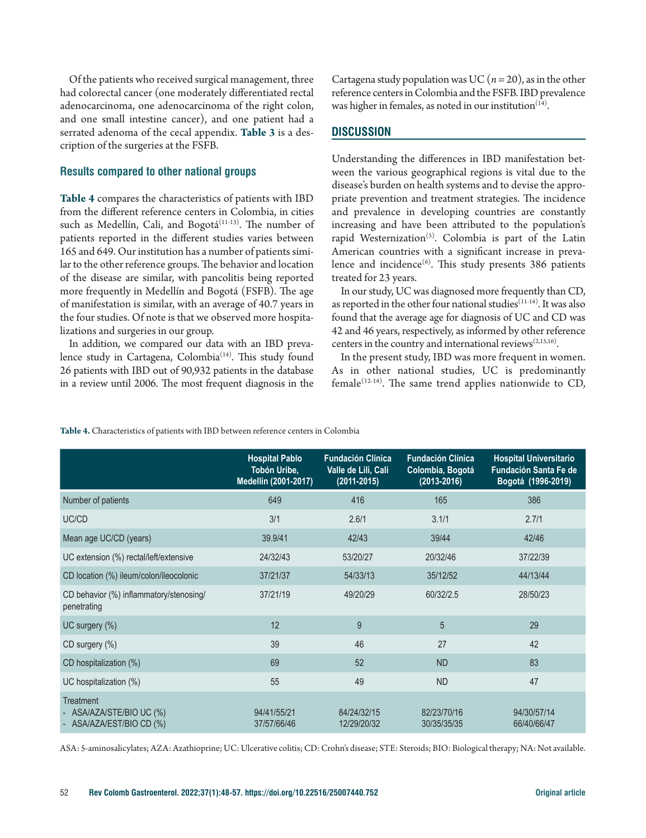Of the patients who received surgical management, three had colorectal cancer (one moderately differentiated rectal adenocarcinoma, one adenocarcinoma of the right colon, and one small intestine cancer), and one patient had a serrated adenoma of the cecal appendix. **Table 3** is a description of the surgeries at the FSFB.

# **Results compared to other national groups**

**Table 4** compares the characteristics of patients with IBD from the different reference centers in Colombia, in cities such as Medellín, Cali, and Bogotá<sup>(11-13)</sup>. The number of patients reported in the different studies varies between 165 and 649. Our institution has a number of patients similar to the other reference groups. The behavior and location of the disease are similar, with pancolitis being reported more frequently in Medellín and Bogotá (FSFB). The age of manifestation is similar, with an average of 40.7 years in the four studies. Of note is that we observed more hospitalizations and surgeries in our group.

In addition, we compared our data with an IBD prevalence study in Cartagena, Colombia<sup>(14)</sup>. This study found 26 patients with IBD out of 90,932 patients in the database in a review until 2006. The most frequent diagnosis in the Cartagena study population was UC ( $n = 20$ ), as in the other reference centers in Colombia and the FSFB. IBD prevalence was higher in females, as noted in our institution<sup> $(14)$ </sup>.

# **DISCUSSION**

Understanding the differences in IBD manifestation between the various geographical regions is vital due to the disease's burden on health systems and to devise the appropriate prevention and treatment strategies. The incidence and prevalence in developing countries are constantly increasing and have been attributed to the population's rapid Westernization<sup>(5)</sup>. Colombia is part of the Latin American countries with a significant increase in prevalence and incidence $^{(6)}$ . This study presents 386 patients treated for 23 years.

In our study, UC was diagnosed more frequently than CD, as reported in the other four national studies<sup>(11-14)</sup>. It was also found that the average age for diagnosis of UC and CD was 42 and 46 years, respectively, as informed by other reference centers in the country and international reviews(2,15,16).

In the present study, IBD was more frequent in women. As in other national studies, UC is predominantly female<sup>(12-14)</sup>. The same trend applies nationwide to CD,

| Table 4. Characteristics of patients with IBD between reference centers in Colombia |  |  |  |  |
|-------------------------------------------------------------------------------------|--|--|--|--|
|                                                                                     |  |  |  |  |

|                                                                      | <b>Hospital Pablo</b><br>Tobón Uribe,<br>Medellín (2001-2017) | <b>Fundación Clínica</b><br>Valle de Lili, Cali<br>$(2011 - 2015)$ | <b>Fundación Clínica</b><br>Colombia, Bogotá<br>$(2013 - 2016)$ | <b>Hospital Universitario</b><br><b>Fundación Santa Fe de</b><br>Bogotá (1996-2019) |
|----------------------------------------------------------------------|---------------------------------------------------------------|--------------------------------------------------------------------|-----------------------------------------------------------------|-------------------------------------------------------------------------------------|
| Number of patients                                                   | 649                                                           | 416                                                                | 165                                                             | 386                                                                                 |
| UC/CD                                                                | 3/1                                                           | 2.6/1                                                              | 3.1/1                                                           | 2.7/1                                                                               |
| Mean age UC/CD (years)                                               | 39.9/41                                                       | 42/43                                                              | 39/44                                                           | 42/46                                                                               |
| UC extension (%) rectal/left/extensive                               | 24/32/43                                                      | 53/20/27                                                           | 20/32/46                                                        | 37/22/39                                                                            |
| CD location (%) ileum/colon/ileocolonic                              | 37/21/37                                                      | 54/33/13                                                           | 35/12/52                                                        | 44/13/44                                                                            |
| CD behavior (%) inflammatory/stenosing/<br>penetrating               | 37/21/19                                                      | 49/20/29                                                           | 60/32/2.5                                                       | 28/50/23                                                                            |
| UC surgery (%)                                                       | 12                                                            | 9                                                                  | 5                                                               | 29                                                                                  |
| CD surgery (%)                                                       | 39                                                            | 46                                                                 | 27                                                              | 42                                                                                  |
| CD hospitalization (%)                                               | 69                                                            | 52                                                                 | <b>ND</b>                                                       | 83                                                                                  |
| UC hospitalization (%)                                               | 55                                                            | 49                                                                 | <b>ND</b>                                                       | 47                                                                                  |
| <b>Treatment</b><br>ASA/AZA/STE/BIO UC (%)<br>ASA/AZA/EST/BIO CD (%) | 94/41/55/21<br>37/57/66/46                                    | 84/24/32/15<br>12/29/20/32                                         | 82/23/70/16<br>30/35/35/35                                      | 94/30/57/14<br>66/40/66/47                                                          |

ASA: 5-aminosalicylates; AZA: Azathioprine; UC: Ulcerative colitis; CD: Crohn's disease; STE: Steroids; BIO: Biological therapy; NA: Not available.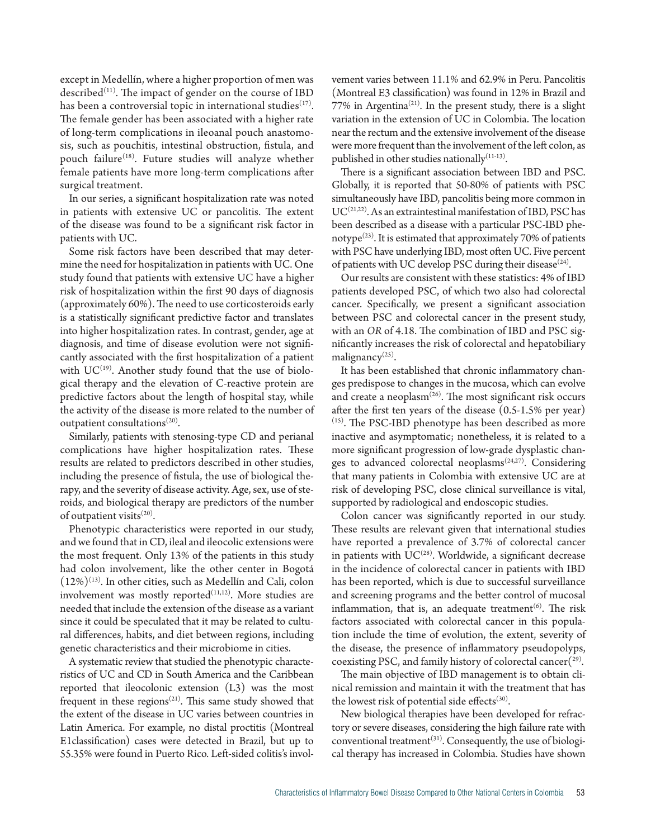except in Medellín, where a higher proportion of men was described<sup>(11)</sup>. The impact of gender on the course of IBD has been a controversial topic in international studies $(17)$ . The female gender has been associated with a higher rate of long-term complications in ileoanal pouch anastomosis, such as pouchitis, intestinal obstruction, fistula, and pouch failure<sup>(18)</sup>. Future studies will analyze whether female patients have more long-term complications after surgical treatment.

In our series, a significant hospitalization rate was noted in patients with extensive UC or pancolitis. The extent of the disease was found to be a significant risk factor in patients with UC.

Some risk factors have been described that may determine the need for hospitalization in patients with UC. One study found that patients with extensive UC have a higher risk of hospitalization within the first 90 days of diagnosis (approximately 60%). The need to use corticosteroids early is a statistically significant predictive factor and translates into higher hospitalization rates. In contrast, gender, age at diagnosis, and time of disease evolution were not significantly associated with the first hospitalization of a patient with  $UC^{(19)}$ . Another study found that the use of biological therapy and the elevation of C-reactive protein are predictive factors about the length of hospital stay, while the activity of the disease is more related to the number of outpatient consultations<sup>(20)</sup>.

Similarly, patients with stenosing-type CD and perianal complications have higher hospitalization rates. These results are related to predictors described in other studies, including the presence of fistula, the use of biological therapy, and the severity of disease activity. Age, sex, use of steroids, and biological therapy are predictors of the number of outpatient visits $(20)$ .

Phenotypic characteristics were reported in our study, and we found that in CD, ileal and ileocolic extensions were the most frequent. Only 13% of the patients in this study had colon involvement, like the other center in Bogotá  $(12\%)$ <sup>(13)</sup>. In other cities, such as Medellín and Cali, colon involvement was mostly reported $(11,12)$ . More studies are needed that include the extension of the disease as a variant since it could be speculated that it may be related to cultural differences, habits, and diet between regions, including genetic characteristics and their microbiome in cities.

A systematic review that studied the phenotypic characteristics of UC and CD in South America and the Caribbean reported that ileocolonic extension (L3) was the most frequent in these regions<sup> $(21)$ </sup>. This same study showed that the extent of the disease in UC varies between countries in Latin America. For example, no distal proctitis (Montreal E1classification) cases were detected in Brazil, but up to 55.35% were found in Puerto Rico. Left-sided colitis's involvement varies between 11.1% and 62.9% in Peru. Pancolitis (Montreal E3 classification) was found in 12% in Brazil and  $77\%$  in Argentina<sup>(21)</sup>. In the present study, there is a slight variation in the extension of UC in Colombia. The location near the rectum and the extensive involvement of the disease were more frequent than the involvement of the left colon, as published in other studies nationally $(11-13)$ .

There is a significant association between IBD and PSC. Globally, it is reported that 50-80% of patients with PSC simultaneously have IBD, pancolitis being more common in  $\mathrm{UC}^{(21,22)}.$  As an extraintestinal manifestation of IBD, PSC has been described as a disease with a particular PSC-IBD phenotype $(23)$ . It is estimated that approximately 70% of patients with PSC have underlying IBD, most often UC. Five percent of patients with UC develop PSC during their disease<sup>(24)</sup>.

Our results are consistent with these statistics: 4% of IBD patients developed PSC, of which two also had colorectal cancer. Specifically, we present a significant association between PSC and colorectal cancer in the present study, with an *OR* of 4.18. The combination of IBD and PSC significantly increases the risk of colorectal and hepatobiliary malignancy $(25)$ .

It has been established that chronic inflammatory changes predispose to changes in the mucosa, which can evolve and create a neoplasm<sup>(26)</sup>. The most significant risk occurs after the first ten years of the disease (0.5-1.5% per year) (15). The PSC-IBD phenotype has been described as more inactive and asymptomatic; nonetheless, it is related to a more significant progression of low-grade dysplastic changes to advanced colorectal neoplasms<sup>(24,27)</sup>. Considering that many patients in Colombia with extensive UC are at risk of developing PSC, close clinical surveillance is vital, supported by radiological and endoscopic studies.

Colon cancer was significantly reported in our study. These results are relevant given that international studies have reported a prevalence of 3.7% of colorectal cancer in patients with  $UC^{(28)}$ . Worldwide, a significant decrease in the incidence of colorectal cancer in patients with IBD has been reported, which is due to successful surveillance and screening programs and the better control of mucosal inflammation, that is, an adequate treatment<sup> $(6)$ </sup>. The risk factors associated with colorectal cancer in this population include the time of evolution, the extent, severity of the disease, the presence of inflammatory pseudopolyps, coexisting PSC, and family history of colorectal cancer $(29)$ .

The main objective of IBD management is to obtain clinical remission and maintain it with the treatment that has the lowest risk of potential side effects $(30)$ .

New biological therapies have been developed for refractory or severe diseases, considering the high failure rate with conventional treatment(31). Consequently, the use of biological therapy has increased in Colombia. Studies have shown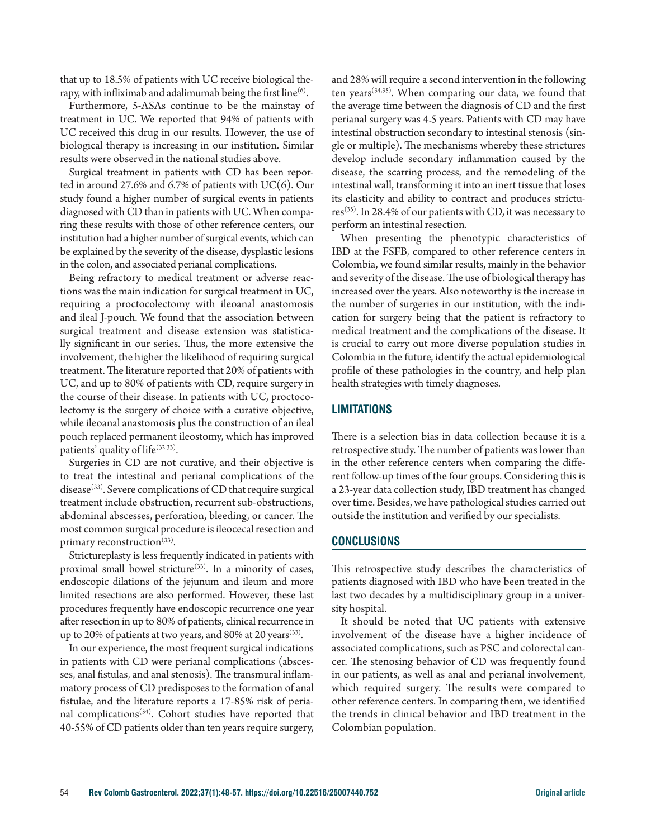that up to 18.5% of patients with UC receive biological therapy, with infliximab and adalimumab being the first line $(6)$ .

Furthermore, 5-ASAs continue to be the mainstay of treatment in UC. We reported that 94% of patients with UC received this drug in our results. However, the use of biological therapy is increasing in our institution. Similar results were observed in the national studies above.

Surgical treatment in patients with CD has been reported in around 27.6% and 6.7% of patients with  $UC(6)$ . Our study found a higher number of surgical events in patients diagnosed with CD than in patients with UC. When comparing these results with those of other reference centers, our institution had a higher number of surgical events, which can be explained by the severity of the disease, dysplastic lesions in the colon, and associated perianal complications.

Being refractory to medical treatment or adverse reactions was the main indication for surgical treatment in UC, requiring a proctocolectomy with ileoanal anastomosis and ileal J-pouch. We found that the association between surgical treatment and disease extension was statistically significant in our series. Thus, the more extensive the involvement, the higher the likelihood of requiring surgical treatment. The literature reported that 20% of patients with UC, and up to 80% of patients with CD, require surgery in the course of their disease. In patients with UC, proctocolectomy is the surgery of choice with a curative objective, while ileoanal anastomosis plus the construction of an ileal pouch replaced permanent ileostomy, which has improved patients' quality of life<sup>(32,33)</sup>.

Surgeries in CD are not curative, and their objective is to treat the intestinal and perianal complications of the disease $^{(33)}$ . Severe complications of CD that require surgical treatment include obstruction, recurrent sub-obstructions, abdominal abscesses, perforation, bleeding, or cancer. The most common surgical procedure is ileocecal resection and primary reconstruction<sup>(33)</sup>.

Strictureplasty is less frequently indicated in patients with proximal small bowel stricture<sup>(33)</sup>. In a minority of cases, endoscopic dilations of the jejunum and ileum and more limited resections are also performed. However, these last procedures frequently have endoscopic recurrence one year after resection in up to 80% of patients, clinical recurrence in up to 20% of patients at two years, and 80% at 20 years<sup>(33)</sup>.

In our experience, the most frequent surgical indications in patients with CD were perianal complications (abscesses, anal fistulas, and anal stenosis). The transmural inflammatory process of CD predisposes to the formation of anal fistulae, and the literature reports a 17-85% risk of perianal complications<sup> $(34)$ </sup>. Cohort studies have reported that 40-55% of CD patients older than ten years require surgery, and 28% will require a second intervention in the following ten years(34,35). When comparing our data, we found that the average time between the diagnosis of CD and the first perianal surgery was 4.5 years. Patients with CD may have intestinal obstruction secondary to intestinal stenosis (single or multiple). The mechanisms whereby these strictures develop include secondary inflammation caused by the disease, the scarring process, and the remodeling of the intestinal wall, transforming it into an inert tissue that loses its elasticity and ability to contract and produces strictures(35). In 28.4% of our patients with CD, it was necessary to perform an intestinal resection.

When presenting the phenotypic characteristics of IBD at the FSFB, compared to other reference centers in Colombia, we found similar results, mainly in the behavior and severity of the disease. The use of biological therapy has increased over the years. Also noteworthy is the increase in the number of surgeries in our institution, with the indication for surgery being that the patient is refractory to medical treatment and the complications of the disease. It is crucial to carry out more diverse population studies in Colombia in the future, identify the actual epidemiological profile of these pathologies in the country, and help plan health strategies with timely diagnoses.

# **LIMITATIONS**

There is a selection bias in data collection because it is a retrospective study. The number of patients was lower than in the other reference centers when comparing the different follow-up times of the four groups. Considering this is a 23-year data collection study, IBD treatment has changed over time. Besides, we have pathological studies carried out outside the institution and verified by our specialists.

# **CONCLUSIONS**

This retrospective study describes the characteristics of patients diagnosed with IBD who have been treated in the last two decades by a multidisciplinary group in a university hospital.

It should be noted that UC patients with extensive involvement of the disease have a higher incidence of associated complications, such as PSC and colorectal cancer. The stenosing behavior of CD was frequently found in our patients, as well as anal and perianal involvement, which required surgery. The results were compared to other reference centers. In comparing them, we identified the trends in clinical behavior and IBD treatment in the Colombian population.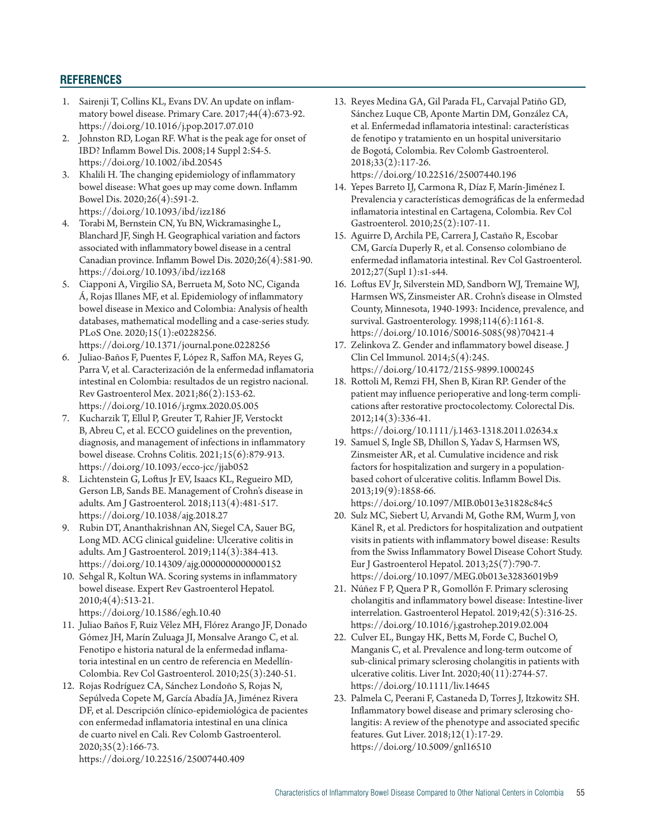# **REFERENCES**

- 1. Sairenji T, Collins KL, Evans DV. An update on inflammatory bowel disease. Primary Care. 2017;44(4):673-92. https://doi.org/10.1016/j.pop.2017.07.010
- 2. Johnston RD, Logan RF. What is the peak age for onset of IBD? Inflamm Bowel Dis. 2008;14 Suppl 2:S4-5. https://doi.org/10.1002/ibd.20545
- 3. Khalili H. The changing epidemiology of inflammatory bowel disease: What goes up may come down. Inflamm Bowel Dis. 2020;26(4):591-2. https://doi.org/10.1093/ibd/izz186
- 4. Torabi M, Bernstein CN, Yu BN, Wickramasinghe L, Blanchard JF, Singh H. Geographical variation and factors associated with inflammatory bowel disease in a central Canadian province. Inflamm Bowel Dis. 2020;26(4):581-90. https://doi.org/10.1093/ibd/izz168
- 5. Ciapponi A, Virgilio SA, Berrueta M, Soto NC, Ciganda Á, Rojas Illanes MF, et al. Epidemiology of inflammatory bowel disease in Mexico and Colombia: Analysis of health databases, mathematical modelling and a case-series study. PLoS One. 2020;15(1):e0228256. https://doi.org/10.1371/journal.pone.0228256
- 6. Juliao-Baños F, Puentes F, López R, Saffon MA, Reyes G, Parra V, et al. Caracterización de la enfermedad inflamatoria intestinal en Colombia: resultados de un registro nacional. Rev Gastroenterol Mex. 2021;86(2):153-62. https://doi.org/10.1016/j.rgmx.2020.05.005
- 7. Kucharzik T, Ellul P, Greuter T, Rahier JF, Verstockt B, Abreu C, et al. ECCO guidelines on the prevention, diagnosis, and management of infections in inflammatory bowel disease. Crohns Colitis. 2021;15(6):879-913. https://doi.org/10.1093/ecco-jcc/jjab052
- 8. Lichtenstein G, Loftus Jr EV, Isaacs KL, Regueiro MD, Gerson LB, Sands BE. Management of Crohn's disease in adults. Am J Gastroenterol. 2018;113(4):481-517. https://doi.org/10.1038/ajg.2018.27
- 9. Rubin DT, Ananthakrishnan AN, Siegel CA, Sauer BG, Long MD. ACG clinical guideline: Ulcerative colitis in adults. Am J Gastroenterol. 2019;114(3):384-413. https://doi.org/10.14309/ajg.0000000000000152
- 10. Sehgal R, Koltun WA. Scoring systems in inflammatory bowel disease. Expert Rev Gastroenterol Hepatol. 2010;4(4):513-21. https://doi.org/10.1586/egh.10.40
- 11. Juliao Baños F, Ruiz Vélez MH, Flórez Arango JF, Donado
- Gómez JH, Marín Zuluaga JI, Monsalve Arango C, et al. Fenotipo e historia natural de la enfermedad inflamatoria intestinal en un centro de referencia en Medellín-Colombia. Rev Col Gastroenterol. 2010;25(3):240-51.
- 12. Rojas Rodríguez CA, Sánchez Londoño S, Rojas N, Sepúlveda Copete M, García Abadía JA, Jiménez Rivera DF, et al. Descripción clínico-epidemiológica de pacientes con enfermedad inflamatoria intestinal en una clínica de cuarto nivel en Cali. Rev Colomb Gastroenterol. 2020;35(2):166-73. https://doi.org/10.22516/25007440.409
- 13. Reyes Medina GA, Gil Parada FL, Carvajal Patiño GD, Sánchez Luque CB, Aponte Martin DM, González CA, et al. Enfermedad inflamatoria intestinal: características de fenotipo y tratamiento en un hospital universitario de Bogotá, Colombia. Rev Colomb Gastroenterol. 2018;33(2):117-26. https://doi.org/10.22516/25007440.196
- 14. Yepes Barreto IJ, Carmona R, Díaz F, Marín-Jiménez I. Prevalencia y características demográficas de la enfermedad inflamatoria intestinal en Cartagena, Colombia. Rev Col Gastroenterol. 2010;25(2):107-11.
- 15. Aguirre D, Archila PE, Carrera J, Castaño R, Escobar CM, García Duperly R, et al. Consenso colombiano de enfermedad inflamatoria intestinal. Rev Col Gastroenterol. 2012;27(Supl 1):s1-s44.
- 16. Loftus EV Jr, Silverstein MD, Sandborn WJ, Tremaine WJ, Harmsen WS, Zinsmeister AR. Crohn's disease in Olmsted County, Minnesota, 1940-1993: Incidence, prevalence, and survival. Gastroenterology. 1998;114(6):1161-8. https://doi.org/10.1016/S0016-5085(98)70421-4
- 17. Zelinkova Z. Gender and inflammatory bowel disease. J Clin Cel Immunol. 2014;5(4):245. https://doi.org/10.4172/2155-9899.1000245
- 18. Rottoli M, Remzi FH, Shen B, Kiran RP. Gender of the patient may influence perioperative and long-term complications after restorative proctocolectomy. Colorectal Dis. 2012;14(3):336-41. https://doi.org/10.1111/j.1463-1318.2011.02634.x
- 19. Samuel S, Ingle SB, Dhillon S, Yadav S, Harmsen WS, Zinsmeister AR, et al. Cumulative incidence and risk factors for hospitalization and surgery in a populationbased cohort of ulcerative colitis. Inflamm Bowel Dis. 2013;19(9):1858-66. https://doi.org/10.1097/MIB.0b013e31828c84c5
- 20. Sulz MC, Siebert U, Arvandi M, Gothe RM, Wurm J, von Känel R, et al. Predictors for hospitalization and outpatient visits in patients with inflammatory bowel disease: Results from the Swiss Inflammatory Bowel Disease Cohort Study. Eur J Gastroenterol Hepatol. 2013;25(7):790-7. https://doi.org/10.1097/MEG.0b013e32836019b9
- 21. Núñez F P, Quera P R, Gomollón F. Primary sclerosing cholangitis and inflammatory bowel disease: Intestine-liver interrelation. Gastroenterol Hepatol. 2019;42(5):316-25. https://doi.org/10.1016/j.gastrohep.2019.02.004
- 22. Culver EL, Bungay HK, Betts M, Forde C, Buchel O, Manganis C, et al. Prevalence and long-term outcome of sub-clinical primary sclerosing cholangitis in patients with ulcerative colitis. Liver Int. 2020;40(11):2744-57. https://doi.org/10.1111/liv.14645
- 23. Palmela C, Peerani F, Castaneda D, Torres J, Itzkowitz SH. Inflammatory bowel disease and primary sclerosing cholangitis: A review of the phenotype and associated specific features. Gut Liver. 2018;12(1):17-29. https://doi.org/10.5009/gnl16510